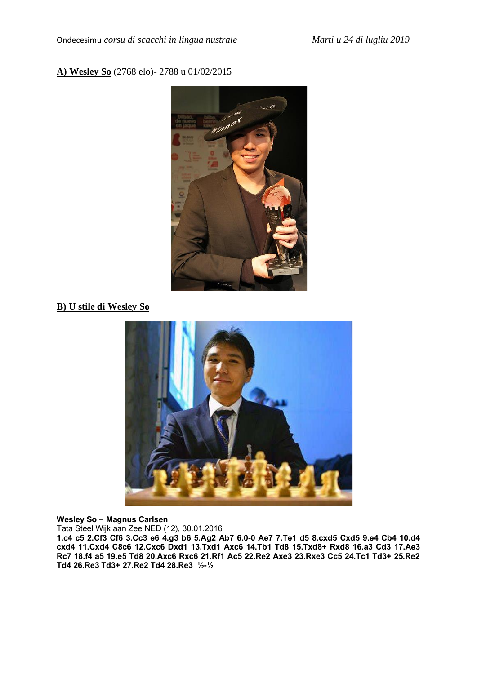### **A) Wesley So** (2768 elo)- 2788 u 01/02/2015



## **B) U stile di Wesley So**



#### **Wesley So - Magnus Carlsen**

Tata Steel Wijk aan Zee NED (12), 30.01.2016

**1.c4 c5 2.Cf3 Cf6 3.Cc3 e6 4.g3 b6 5.Ag2 Ab7 6.0–0 Ae7 7.Te1 d5 8.cxd5 Cxd5 9.e4 Cb4 10.d4 cxd4 11.Cxd4 C8c6 12.Cxc6 Dxd1 13.Txd1 Axc6 14.Tb1 Td8 15.Txd8+ Rxd8 16.a3 Cd3 17.Ae3 Rc7 18.f4 a5 19.e5 Td8 20.Axc6 Rxc6 21.Rf1 Ac5 22.Re2 Axe3 23.Rxe3 Cc5 24.Tc1 Td3+ 25.Re2 Td4 26.Re3 Td3+ 27.Re2 Td4 28.Re3 ½–½**